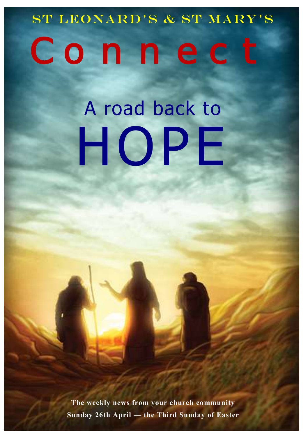# St Leonard's & St Mary's Connect

# A road back to HOPE

**The weekly news from your church community Sunday 26th April — the Third Sunday of Easter**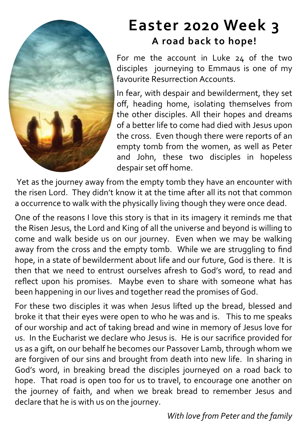

# **Easter 2020 Week 3 A road back to hope!**

For me the account in Luke 24 of the two disciples journeying to Emmaus is one of my favourite Resurrection Accounts.

In fear, with despair and bewilderment, they set off, heading home, isolating themselves from the other disciples. All their hopes and dreams of a better life to come had died with Jesus upon the cross. Even though there were reports of an empty tomb from the women, as well as Peter and John, these two disciples in hopeless despair set off home.

Yet as the journey away from the empty tomb they have an encounter with the risen Lord. They didn't know it at the time after all its not that common a occurrence to walk with the physically living though they were once dead.

One of the reasons I love this story is that in its imagery it reminds me that the Risen Jesus, the Lord and King of all the universe and beyond is willing to come and walk beside us on our journey. Even when we may be walking away from the cross and the empty tomb. While we are struggling to find hope, in a state of bewilderment about life and our future, God is there. It is then that we need to entrust ourselves afresh to God's word, to read and reflect upon his promises. Maybe even to share with someone what has been happening in our lives and together read the promises of God.

For these two disciples it was when Jesus lifted up the bread, blessed and broke it that their eyes were open to who he was and is. This to me speaks of our worship and act of taking bread and wine in memory of Jesus love for us. In the Eucharist we declare who Jesus is. He is our sacrifice provided for us as a gift, on our behalf he becomes our Passover Lamb, through whom we are forgiven of our sins and brought from death into new life. In sharing in God's word, in breaking bread the disciples journeyed on a road back to hope. That road is open too for us to travel, to encourage one another on the journey of faith, and when we break bread to remember Jesus and declare that he is with us on the journey.

*With love from Peter and the family*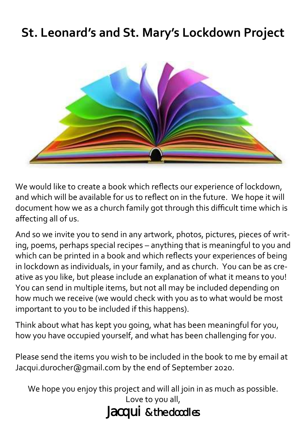## **St. Leonard's and St. Mary's Lockdown Project**



We would like to create a book which reflects our experience of lockdown, and which will be available for us to reflect on in the future. We hope it will document how we as a church family got through this difficult time which is affecting all of us.

And so we invite you to send in any artwork, photos, pictures, pieces of writing, poems, perhaps special recipes – anything that is meaningful to you and which can be printed in a book and which reflects your experiences of being in lockdown as individuals, in your family, and as church. You can be as creative as you like, but please include an explanation of what it means to you! You can send in multiple items, but not all may be included depending on how much we receive (we would check with you as to what would be most important to you to be included if this happens).

Think about what has kept you going, what has been meaningful for you, how you have occupied yourself, and what has been challenging for you.

Please send the items you wish to be included in the book to me by email at Jacqui.durocher@gmail.com by the end of September 2020.

We hope you enjoy this project and will all join in as much as possible. Love to you all, Jacqui & the doodles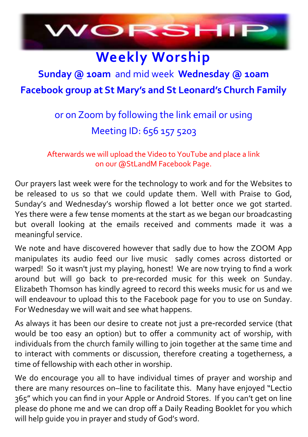

# **Weekly Worship**

**Sunday @ 10am** and mid week **Wednesday @ 10am Facebook group at St Mary's and St Leonard's Church Family**

## or on Zoom by following the link email or using Meeting ID: 656 157 5203

Afterwards we will upload the Video to YouTube and place a link on our @StLandM Facebook Page.

Our prayers last week were for the technology to work and for the Websites to be released to us so that we could update them. Well with Praise to God, Sunday's and Wednesday's worship flowed a lot better once we got started. Yes there were a few tense moments at the start as we began our broadcasting but overall looking at the emails received and comments made it was a meaningful service.

We note and have discovered however that sadly due to how the ZOOM App manipulates its audio feed our live music sadly comes across distorted or warped! So it wasn't just my playing, honest! We are now trying to find a work around but will go back to pre-recorded music for this week on Sunday. Elizabeth Thomson has kindly agreed to record this weeks music for us and we will endeavour to upload this to the Facebook page for you to use on Sunday. For Wednesday we will wait and see what happens.

As always it has been our desire to create not just a pre-recorded service (that would be too easy an option) but to offer a community act of worship, with individuals from the church family willing to join together at the same time and to interact with comments or discussion, therefore creating a togetherness, a time of fellowship with each other in worship.

We do encourage you all to have individual times of prayer and worship and there are many resources on–line to facilitate this. Many have enjoyed "Lectio 365" which you can find in your Apple or Android Stores. If you can't get on line please do phone me and we can drop off a Daily Reading Booklet for you which will help guide you in prayer and study of God's word.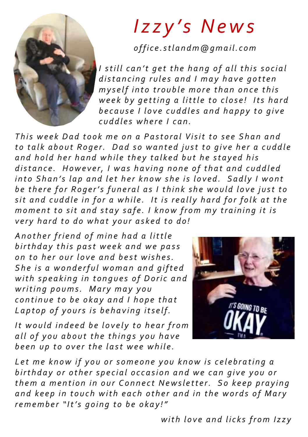

# *I z z y ' s N e w s*

*o f f i c e . s t l a n d m @ g m a i l . c o m*

*I still can't get the hang of all this social* distancing rules and I may have gotten *myself into trouble more than once this week by getting a little to close! Its hard because I love cuddles and happy to give cuddles where I can.* 

*This week Dad took me on a Pastoral Visit to see Shan and* to talk about Roger. Dad so wanted just to give her a cuddle and hold her hand while they talked but he stayed his distance. However, I was having none of that and cuddled *into Shan's lap and let her know she is loved. Sadly I wont* be there for Roger's funeral as I think she would love just to sit and cuddle in for a while. It is really hard for folk at the *moment to sit and stay safe. I know from my training it is* very hard to do what your asked to do!

A nother friend of mine had a little *birthday this past week and we pass* on to her our love and best wishes. She is a wonderful woman and gifted with speaking in tongues of Doric and *w r i t i n g p o u m s . M a r y m a y y o u continue to be okay and I hope that* Laptop of yours is behaving itself.



*It would indeed be lovely to hear from* all of you about the things you have *been up to over the last wee while.* 

Let me know if you or someone you know is celebrating a birthday or other special occasion and we can give you or them a mention in our Connect Newsletter. So keep praying and keep in touch with each other and in the words of Mary remember "It's going to be okay!"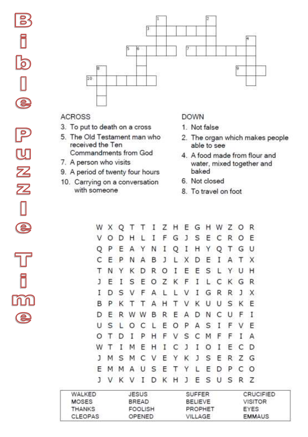

#### **ACROSS**

- 3. To put to death on a cross
- 5. The Old Testament man who received the Ten
	- Commandments from God
- 7. A person who visits
- 9. A period of twenty four hours
- 10. Carrying on a conversation with someone

#### **DOWN**

- 1. Not false
- 2. The organ which makes people able to see
- 4. A food made from flour and water, mixed together and baked
- 6. Not closed
- 8. To travel on foot

|                |  |  |  |  |  | W X Q T T I Z H E G H W Z O R |  |              |  |
|----------------|--|--|--|--|--|-------------------------------|--|--------------|--|
|                |  |  |  |  |  | <b>VODHLIFGJSECROE</b>        |  |              |  |
| $\circ$        |  |  |  |  |  | PEAYNIQIHYQTGU                |  |              |  |
|                |  |  |  |  |  | CEPNABJLXDEIATX               |  |              |  |
| TNYKDROIEESLYU |  |  |  |  |  |                               |  | H            |  |
|                |  |  |  |  |  | <b>JEISEOZKFILCKGR</b>        |  |              |  |
|                |  |  |  |  |  | I D S V F A L L V I G R R J X |  |              |  |
|                |  |  |  |  |  | BPKTTAHTVKUUSKE               |  |              |  |
|                |  |  |  |  |  | D E R W W B R E A D N C U F I |  |              |  |
|                |  |  |  |  |  | USLOCLEOPASIFVE               |  |              |  |
|                |  |  |  |  |  | OTDIPHFVSCMFFI                |  | $\mathsf{A}$ |  |
|                |  |  |  |  |  | WTIMEHICJIOIEC                |  | D            |  |
| $\mathbf{J}$   |  |  |  |  |  | MSMCVEYKJSERZG                |  |              |  |
|                |  |  |  |  |  | EMMAUSETYLEDPCO               |  |              |  |
|                |  |  |  |  |  | J V K V I D K H J E S U S R Z |  |              |  |

| <b>WALKED</b> | <b>JESUS</b>   | <b>SUFFER</b>  | <b>CRUCIFIED</b> |
|---------------|----------------|----------------|------------------|
| MOSES         | BREAD          | BELIEVE        | <b>VISITOR</b>   |
| <b>THANKS</b> | <b>FOOLISH</b> | <b>PROPHET</b> | <b>EYES</b>      |
| CLEOPAS       | OPENED         | VILLAGE        | <b>EMMAUS</b>    |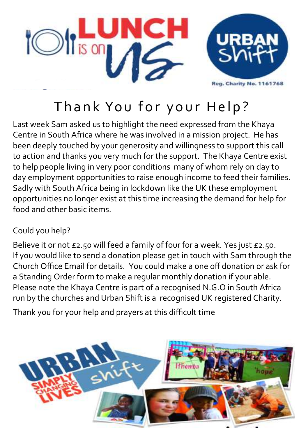

# Thank You for your Help?

Last week Sam asked us to highlight the need expressed from the Khaya Centre in South Africa where he was involved in a mission project. He has been deeply touched by your generosity and willingness to support this call to action and thanks you very much for the support. The Khaya Centre exist to help people living in very poor conditions many of whom rely on day to day employment opportunities to raise enough income to feed their families. Sadly with South Africa being in lockdown like the UK these employment opportunities no longer exist at this time increasing the demand for help for food and other basic items.

## Could you help?

Believe it or not £2.50 will feed a family of four for a week. Yes just £2.50. If you would like to send a donation please get in touch with Sam through the Church Office Email for details. You could make a one off donation or ask for a Standing Order form to make a regular monthly donation if your able. Please note the Khaya Centre is part of a recognised N.G.O in South Africa run by the churches and Urban Shift is a recognised UK registered Charity.

Thank you for your help and prayers at this difficult time

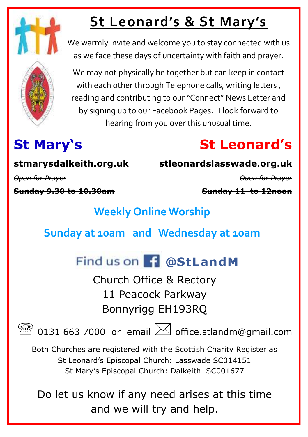

# **St Leonard's & St Mary's**

We warmly invite and welcome you to stay connected with us as we face these days of uncertainty with faith and prayer.



We may not physically be together but can keep in contact with each other through Telephone calls, writing letters, reading and contributing to our "Connect" News Letter and by signing up to our Facebook Pages. I look forward to hearing from you over this unusual time.

# **St Mary's**

# **St Leonard's**

## **stmarysdalkeith.org.uk**

**stleonardslasswade.org.uk** 

*Open for Prayer*

**Sunday 9.30 to 10.30am**

**Sunday 11 to 12noon**

*Open for Prayer*

## **Weekly Online Worship**

**Sunday at 10am and Wednesday at 10am**

# Find us on **[1]** @StLandM

Church Office & Rectory 11 Peacock Parkway Bonnyrigg EH193RQ

 $\sqrt[62m]{}$  0131 663 7000 or email  $\boxtimes$  office.stlandm@gmail.com

Both Churches are registered with the Scottish Charity Register as St Leonard's Episcopal Church: Lasswade SC014151 St Mary's Episcopal Church: Dalkeith SC001677

Do let us know if any need arises at this time and we will try and help.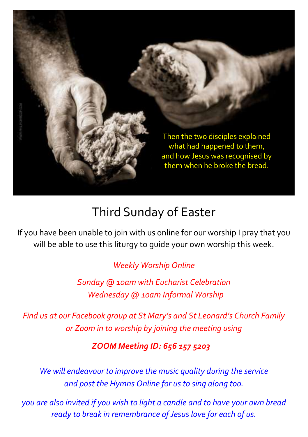

# Third Sunday of Easter

If you have been unable to join with us online for our worship I pray that you will be able to use this liturgy to guide your own worship this week.

## *Weekly Worship Online*

*Sunday @ 10am with Eucharist Celebration Wednesday @ 10am Informal Worship*

*Find us at our Facebook group at St Mary's and St Leonard's Church Family or Zoom in to worship by joining the meeting using*

## *ZOOM Meeting ID: 656 157 5203*

*We will endeavour to improve the music quality during the service and post the Hymns Online for us to sing along too.*

*you are also invited if you wish to light a candle and to have your own bread ready to break in remembrance of Jesus love for each of us.*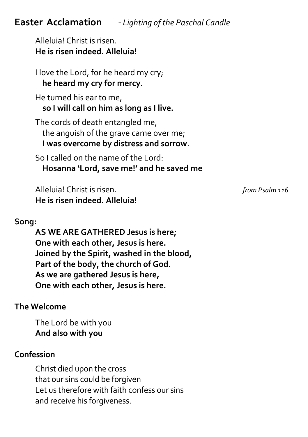## **Easter Acclamation** *- Lighting of the Paschal Candle*

Alleluia! Christ is risen. **He is risen indeed. Alleluia!**

I love the Lord, for he heard my cry; **he heard my cry for mercy.**

He turned his ear to me,  **so I will call on him as long as I live.**

The cords of death entangled me, the anguish of the grave came over me; **I was overcome by distress and sorrow**.

So I called on the name of the Lord: **Hosanna 'Lord, save me!' and he saved me**

Alleluia! Christ is risen. *from Psalm 116* **He is risen indeed. Alleluia!** 

#### **Song:**

**AS WE ARE GATHERED Jesus is here; One with each other, Jesus is here. Joined by the Spirit, washed in the blood, Part of the body, the church of God. As we are gathered Jesus is here, One with each other, Jesus is here.**

## **The Welcome**

The Lord be with you **And also with you**

## **Confession**

Christ died upon the cross that our sins could be forgiven Let us therefore with faith confess our sins and receive his forgiveness.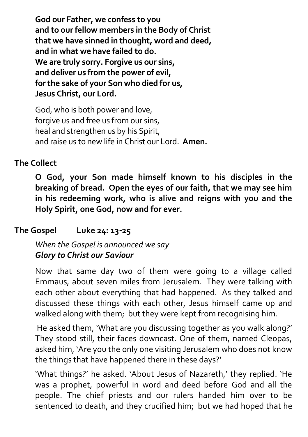**God our Father, we confess to you and to our fellow members in the Body of Christ that we have sinned in thought, word and deed, and in what we have failed to do. We are truly sorry. Forgive us our sins, and deliver us from the power of evil, for the sake of your Son who died for us, Jesus Christ, our Lord.**

God, who is both power and love, forgive us and free us from our sins, heal and strengthen us by his Spirit, and raise us to new life in Christ our Lord. **Amen.**

## **The Collect**

**O God, your Son made himself known to his disciples in the breaking of bread. Open the eyes of our faith, that we may see him in his redeeming work, who is alive and reigns with you and the Holy Spirit, one God, now and for ever.**

#### **The Gospel Luke 24: 13-25**

#### *When the Gospel is announced we say Glory to Christ our Saviour*

Now that same day two of them were going to a village called Emmaus, about seven miles from Jerusalem. They were talking with each other about everything that had happened. As they talked and discussed these things with each other, Jesus himself came up and walked along with them; but they were kept from recognising him.

He asked them, 'What are you discussing together as you walk along?' They stood still, their faces downcast. One of them, named Cleopas, asked him, 'Are you the only one visiting Jerusalem who does not know the things that have happened there in these days?'

'What things?' he asked. 'About Jesus of Nazareth,' they replied. 'He was a prophet, powerful in word and deed before God and all the people. The chief priests and our rulers handed him over to be sentenced to death, and they crucified him; but we had hoped that he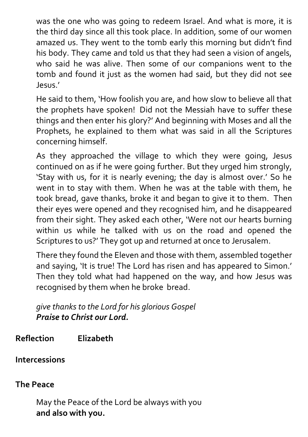was the one who was going to redeem Israel. And what is more, it is the third day since all this took place. In addition, some of our women amazed us. They went to the tomb early this morning but didn't find his body. They came and told us that they had seen a vision of angels, who said he was alive. Then some of our companions went to the tomb and found it just as the women had said, but they did not see Jesus.'

He said to them, 'How foolish you are, and how slow to believe all that the prophets have spoken! Did not the Messiah have to suffer these things and then enter his glory?' And beginning with Moses and all the Prophets, he explained to them what was said in all the Scriptures concerning himself.

As they approached the village to which they were going, Jesus continued on as if he were going further. But they urged him strongly, 'Stay with us, for it is nearly evening; the day is almost over.' So he went in to stay with them. When he was at the table with them, he took bread, gave thanks, broke it and began to give it to them. Then their eyes were opened and they recognised him, and he disappeared from their sight. They asked each other, 'Were not our hearts burning within us while he talked with us on the road and opened the Scriptures to us?' They got up and returned at once to Jerusalem.

There they found the Eleven and those with them, assembled together and saying, 'It is true! The Lord has risen and has appeared to Simon.' Then they told what had happened on the way, and how Jesus was recognised by them when he broke bread.

*give thanks to the Lord for his glorious Gospel Praise to Christ our Lord.*

**Reflection Elizabeth**

**Intercessions**

#### **The Peace**

May the Peace of the Lord be always with you **and also with you.**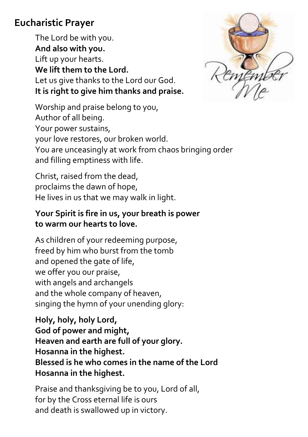## **Eucharistic Prayer**

The Lord be with you. **And also with you.** Lift up your hearts. **We lift them to the Lord.** Let us give thanks to the Lord our God. **It is right to give him thanks and praise.**



Worship and praise belong to you, Author of all being. Your power sustains, your love restores, our broken world. You are unceasingly at work from chaos bringing order and filling emptiness with life.

Christ, raised from the dead, proclaims the dawn of hope, He lives in us that we may walk in light.

#### **Your Spirit is fire in us, your breath is power to warm our hearts to love.**

As children of your redeeming purpose, freed by him who burst from the tomb and opened the gate of life, we offer you our praise, with angels and archangels and the whole company of heaven, singing the hymn of your unending glory:

**Holy, holy, holy Lord, God of power and might, Heaven and earth are full of your glory. Hosanna in the highest. Blessed is he who comes in the name of the Lord Hosanna in the highest.**

Praise and thanksgiving be to you, Lord of all, for by the Cross eternal life is ours and death is swallowed up in victory.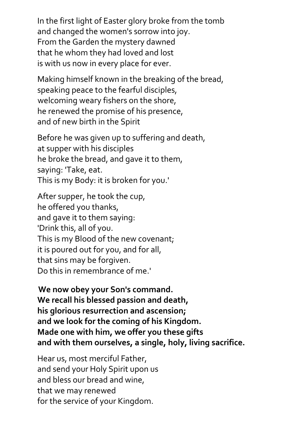In the first light of Easter glory broke from the tomb and changed the women's sorrow into joy. From the Garden the mystery dawned that he whom they had loved and lost is with us now in every place for ever.

Making himself known in the breaking of the bread, speaking peace to the fearful disciples, welcoming weary fishers on the shore, he renewed the promise of his presence, and of new birth in the Spirit

Before he was given up to suffering and death, at supper with his disciples he broke the bread, and gave it to them, saying: 'Take, eat. This is my Body: it is broken for you.'

After supper, he took the cup, he offered you thanks, and gave it to them saying: 'Drink this, all of you. This is my Blood of the new covenant; it is poured out for you, and for all, that sins may be forgiven. Do this in remembrance of me.'

**We now obey your Son's command. We recall his blessed passion and death, his glorious resurrection and ascension; and we look for the coming of his Kingdom. Made one with him, we offer you these gifts and with them ourselves, a single, holy, living sacrifice.**

Hear us, most merciful Father, and send your Holy Spirit upon us and bless our bread and wine, that we may renewed for the service of your Kingdom.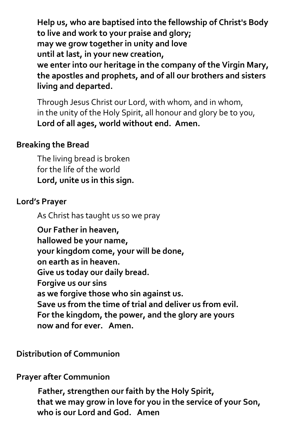**Help us, who are baptised into the fellowship of Christ's Body to live and work to your praise and glory; may we grow together in unity and love until at last, in your new creation, we enter into our heritage in the company of the Virgin Mary, the apostles and prophets, and of all our brothers and sisters living and departed.**

Through Jesus Christ our Lord, with whom, and in whom, in the unity of the Holy Spirit, all honour and glory be to you, **Lord of all ages, world without end. Amen.**

#### **Breaking the Bread**

The living bread is broken for the life of the world **Lord, unite us in this sign.**

#### **Lord's Prayer**

As Christ has taught us so we pray

**Our Father in heaven, hallowed be your name, your kingdom come, your will be done, on earth as in heaven. Give us today our daily bread. Forgive us our sins as we forgive those who sin against us. Save us from the time of trial and deliver us from evil. For the kingdom, the power, and the glory are yours now and for ever. Amen.**

#### **Distribution of Communion**

#### **Prayer after Communion**

**Father, strengthen our faith by the Holy Spirit, that we may grow in love for you in the service of your Son, who is our Lord and God. Amen**